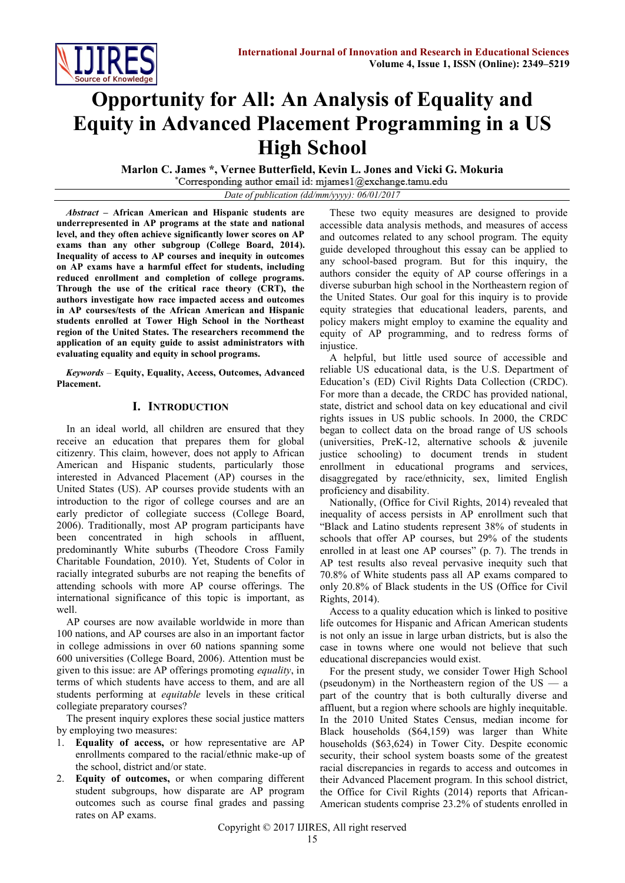

# **Opportunity for All: An Analysis of Equality and Equity in Advanced Placement Programming in a US High School**

**Marlon C. James \*, Vernee Butterfield, Kevin L. Jones and Vicki G. Mokuria**

Corresponding author email id: mjames $1@$ exchange.tamu.edu *Date of publication (dd/mm/yyyy): 06/01/2017*

*Abstract* **– African American and Hispanic students are underrepresented in AP programs at the state and national level, and they often achieve significantly lower scores on AP exams than any other subgroup (College Board, 2014). Inequality of access to AP courses and inequity in outcomes on AP exams have a harmful effect for students, including reduced enrollment and completion of college programs. Through the use of the critical race theory (CRT), the authors investigate how race impacted access and outcomes in AP courses/tests of the African American and Hispanic students enrolled at Tower High School in the Northeast region of the United States. The researchers recommend the application of an equity guide to assist administrators with evaluating equality and equity in school programs.**

*Keywords* – **Equity, Equality, Access, Outcomes, Advanced Placement.**

# **I. INTRODUCTION**

In an ideal world, all children are ensured that they receive an education that prepares them for global citizenry. This claim, however, does not apply to African American and Hispanic students, particularly those interested in Advanced Placement (AP) courses in the United States (US). AP courses provide students with an introduction to the rigor of college courses and are an early predictor of collegiate success (College Board, 2006). Traditionally, most AP program participants have been concentrated in high schools in affluent, predominantly White suburbs (Theodore Cross Family Charitable Foundation, 2010). Yet, Students of Color in racially integrated suburbs are not reaping the benefits of attending schools with more AP course offerings. The international significance of this topic is important, as well.

AP courses are now available worldwide in more than 100 nations, and AP courses are also in an important factor in college admissions in over 60 nations spanning some 600 universities (College Board, 2006). Attention must be given to this issue: are AP offerings promoting *equality*, in terms of which students have access to them, and are all students performing at *equitable* levels in these critical collegiate preparatory courses?

The present inquiry explores these social justice matters by employing two measures:

- 1. **Equality of access,** or how representative are AP enrollments compared to the racial/ethnic make-up of the school, district and/or state.
- 2. **Equity of outcomes,** or when comparing different student subgroups, how disparate are AP program outcomes such as course final grades and passing rates on AP exams.

These two equity measures are designed to provide accessible data analysis methods, and measures of access and outcomes related to any school program. The equity guide developed throughout this essay can be applied to any school-based program. But for this inquiry, the authors consider the equity of AP course offerings in a diverse suburban high school in the Northeastern region of the United States. Our goal for this inquiry is to provide equity strategies that educational leaders, parents, and policy makers might employ to examine the equality and equity of AP programming, and to redress forms of injustice.

A helpful, but little used source of accessible and reliable US educational data, is the U.S. Department of Education's (ED) Civil Rights Data Collection (CRDC). For more than a decade, the CRDC has provided national, state, district and school data on key educational and civil rights issues in US public schools. In 2000, the CRDC began to collect data on the broad range of US schools (universities, PreK-12, alternative schools & juvenile justice schooling) to document trends in student enrollment in educational programs and services, disaggregated by race/ethnicity, sex, limited English proficiency and disability.

Nationally, (Office for Civil Rights, 2014) revealed that inequality of access persists in AP enrollment such that "Black and Latino students represent 38% of students in schools that offer AP courses, but 29% of the students enrolled in at least one AP courses" (p. 7). The trends in AP test results also reveal pervasive inequity such that 70.8% of White students pass all AP exams compared to only 20.8% of Black students in the US (Office for Civil Rights, 2014).

Access to a quality education which is linked to positive life outcomes for Hispanic and African American students is not only an issue in large urban districts, but is also the case in towns where one would not believe that such educational discrepancies would exist.

For the present study, we consider Tower High School (pseudonym) in the Northeastern region of the  $US - a$ part of the country that is both culturally diverse and affluent, but a region where schools are highly inequitable. In the [2010 United States Census,](https://en.wikipedia.org/wiki/2000_United_States_Census) median income for Black households (\$64,159) was larger than White households (\$63,624) in Tower City. Despite economic security, their school system boasts some of the greatest racial discrepancies in regards to access and outcomes in their Advanced Placement program. In this school district, the Office for Civil Rights (2014) reports that African-American students comprise 23.2% of students enrolled in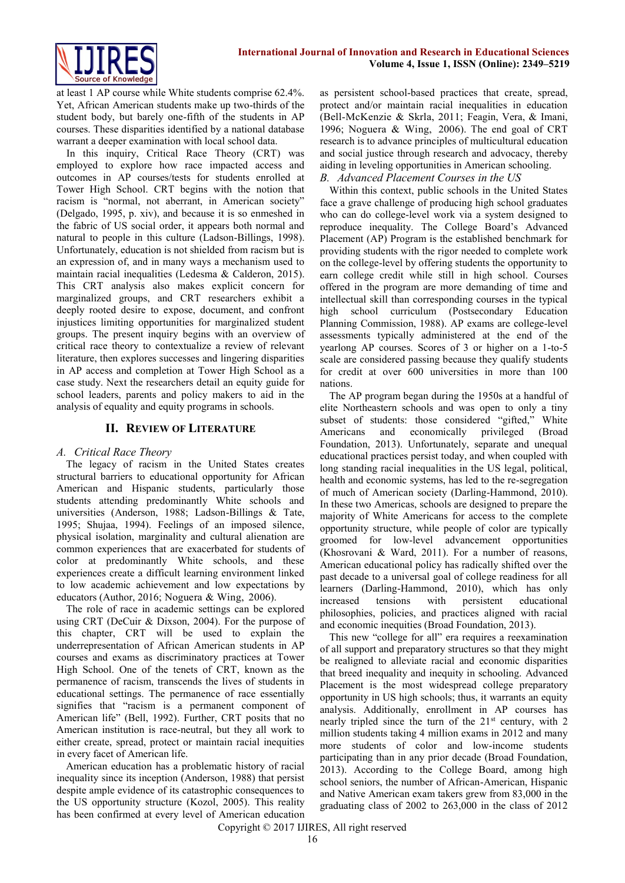

at least 1 AP course while White students comprise 62.4%. Yet, African American students make up two-thirds of the student body, but barely one-fifth of the students in AP courses. These disparities identified by a national database warrant a deeper examination with local school data.

In this inquiry, Critical Race Theory (CRT) was employed to explore how race impacted access and outcomes in AP courses/tests for students enrolled at Tower High School. CRT begins with the notion that racism is "normal, not aberrant, in American society" (Delgado, 1995, p. xiv), and because it is so enmeshed in the fabric of US social order, it appears both normal and natural to people in this culture (Ladson-Billings, 1998). Unfortunately, education is not shielded from racism but is an expression of, and in many ways a mechanism used to maintain racial inequalities (Ledesma & Calderon, 2015). This CRT analysis also makes explicit concern for marginalized groups, and CRT researchers exhibit a deeply rooted desire to expose, document, and confront injustices limiting opportunities for marginalized student groups. The present inquiry begins with an overview of critical race theory to contextualize a review of relevant literature, then explores successes and lingering disparities in AP access and completion at Tower High School as a case study. Next the researchers detail an equity guide for school leaders, parents and policy makers to aid in the analysis of equality and equity programs in schools.

#### **II. REVIEW OF LITERATURE**

#### *A. Critical Race Theory*

The legacy of racism in the United States creates structural barriers to educational opportunity for African American and Hispanic students, particularly those students attending predominantly White schools and universities (Anderson, 1988; Ladson-Billings & Tate, 1995; Shujaa, 1994). Feelings of an imposed silence, physical isolation, marginality and cultural alienation are common experiences that are exacerbated for students of color at predominantly White schools, and these experiences create a difficult learning environment linked to low academic achievement and low expectations by educators (Author, 2016; Noguera & Wing, 2006).

The role of race in academic settings can be explored using CRT (DeCuir & Dixson, 2004). For the purpose of this chapter, CRT will be used to explain the underrepresentation of African American students in AP courses and exams as discriminatory practices at Tower High School. One of the tenets of CRT, known as the permanence of racism, transcends the lives of students in educational settings. The permanence of race essentially signifies that "racism is a permanent component of American life" (Bell, 1992). Further, CRT posits that no American institution is race-neutral, but they all work to either create, spread, protect or maintain racial inequities in every facet of American life.

American education has a problematic history of racial inequality since its inception (Anderson, 1988) that persist despite ample evidence of its catastrophic consequences to the US opportunity structure (Kozol, 2005). This reality has been confirmed at every level of American education as persistent school-based practices that create, spread, protect and/or maintain racial inequalities in education (Bell-McKenzie & Skrla, 2011; Feagin, Vera, & Imani, 1996; Noguera & Wing, 2006). The end goal of CRT research is to advance principles of multicultural education and social justice through research and advocacy, thereby aiding in leveling opportunities in American schooling. *B. Advanced Placement Courses in the US* 

Within this context, public schools in the United States face a grave challenge of producing high school graduates who can do college-level work via a system designed to reproduce inequality. The College Board's Advanced Placement (AP) Program is the established benchmark for providing students with the rigor needed to complete work on the college-level by offering students the opportunity to earn college credit while still in high school. Courses offered in the program are more demanding of time and intellectual skill than corresponding courses in the typical high school curriculum (Postsecondary Education Planning Commission, 1988). AP exams are college-level assessments typically administered at the end of the yearlong AP courses. Scores of 3 or higher on a 1-to-5 scale are considered passing because they qualify students for credit at over 600 universities in more than 100 nations.

The AP program began during the 1950s at a handful of elite Northeastern schools and was open to only a tiny subset of students: those considered "gifted," White Americans and economically privileged (Broad Foundation, 2013). Unfortunately, separate and unequal educational practices persist today, and when coupled with long standing racial inequalities in the US legal, political, health and economic systems, has led to the re-segregation of much of American society (Darling-Hammond, 2010). In these two Americas, schools are designed to prepare the majority of White Americans for access to the complete opportunity structure, while people of color are typically groomed for low-level advancement opportunities (Khosrovani & Ward, 2011). For a number of reasons, American educational policy has radically shifted over the past decade to a universal goal of college readiness for all learners (Darling-Hammond, 2010), which has only increased tensions with persistent educational philosophies, policies, and practices aligned with racial and economic inequities (Broad Foundation, 2013).

This new "college for all" era requires a reexamination of all support and preparatory structures so that they might be realigned to alleviate racial and economic disparities that breed inequality and inequity in schooling. Advanced Placement is the most widespread college preparatory opportunity in US high schools; thus, it warrants an equity analysis. Additionally, enrollment in AP courses has nearly tripled since the turn of the  $21<sup>st</sup>$  century, with 2 million students taking 4 million exams in 2012 and many more students of color and low-income students participating than in any prior decade (Broad Foundation, 2013). According to the College Board, among high school seniors, the number of African-American, Hispanic and Native American exam takers grew from 83,000 in the graduating class of 2002 to 263,000 in the class of 2012

Copyright © 2017 IJIRES, All right reserved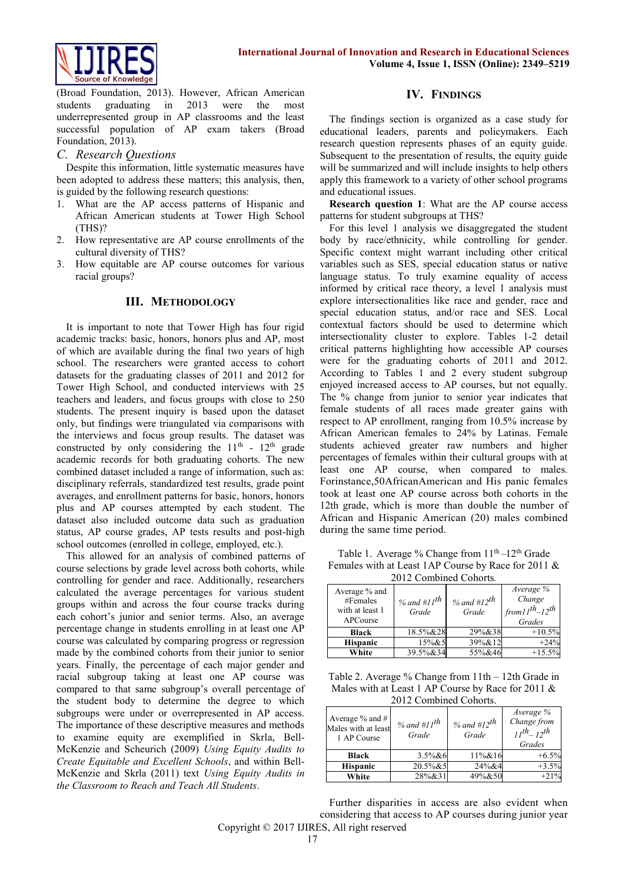



(Broad Foundation, 2013). However, African American students graduating in 2013 were the most underrepresented group in AP classrooms and the least successful population of AP exam takers (Broad Foundation, 2013).

### *C. Research Questions*

Despite this information, little systematic measures have been adopted to address these matters; this analysis, then, is guided by the following research questions:

- 1. What are the AP access patterns of Hispanic and African American students at Tower High School (THS)?
- 2. How representative are AP course enrollments of the cultural diversity of THS?
- 3. How equitable are AP course outcomes for various racial groups?

### **III. METHODOLOGY**

It is important to note that Tower High has four rigid academic tracks: basic, honors, honors plus and AP, most of which are available during the final two years of high school. The researchers were granted access to cohort datasets for the graduating classes of 2011 and 2012 for Tower High School, and conducted interviews with 25 teachers and leaders, and focus groups with close to 250 students. The present inquiry is based upon the dataset only, but findings were triangulated via comparisons with the interviews and focus group results. The dataset was constructed by only considering the  $11<sup>th</sup>$  -  $12<sup>th</sup>$  grade academic records for both graduating cohorts. The new combined dataset included a range of information, such as: disciplinary referrals, standardized test results, grade point averages, and enrollment patterns for basic, honors, honors plus and AP courses attempted by each student. The dataset also included outcome data such as graduation status, AP course grades, AP tests results and post-high school outcomes (enrolled in college, employed, etc.).

This allowed for an analysis of combined patterns of course selections by grade level across both cohorts, while controlling for gender and race. Additionally, researchers calculated the average percentages for various student groups within and across the four course tracks during each cohort's junior and senior terms. Also, an average percentage change in students enrolling in at least one AP course was calculated by comparing progress or regression made by the combined cohorts from their junior to senior years. Finally, the percentage of each major gender and racial subgroup taking at least one AP course was compared to that same subgroup's overall percentage of the student body to determine the degree to which subgroups were under or overrepresented in AP access. The importance of these descriptive measures and methods to examine equity are exemplified in Skrla, Bell-McKenzie and Scheurich (2009) *Using Equity Audits to Create Equitable and Excellent Schools*, and within Bell-McKenzie and Skrla (2011) text *Using Equity Audits in the Classroom to Reach and Teach All Students*.

## **IV. FINDINGS**

The findings section is organized as a case study for educational leaders, parents and policymakers. Each research question represents phases of an equity guide. Subsequent to the presentation of results, the equity guide will be summarized and will include insights to help others apply this framework to a variety of other school programs and educational issues.

**Research question 1**: What are the AP course access patterns for student subgroups at THS?

For this level 1 analysis we disaggregated the student body by race/ethnicity, while controlling for gender. Specific context might warrant including other critical variables such as SES, special education status or native language status. To truly examine equality of access informed by critical race theory, a level 1 analysis must explore intersectionalities like race and gender, race and special education status, and/or race and SES. Local contextual factors should be used to determine which intersectionality cluster to explore. Tables 1-2 detail critical patterns highlighting how accessible AP courses were for the graduating cohorts of 2011 and 2012. According to Tables 1 and 2 every student subgroup enjoyed increased access to AP courses, but not equally. The % change from junior to senior year indicates that female students of all races made greater gains with respect to AP enrollment, ranging from 10.5% increase by African American females to 24% by Latinas. Female students achieved greater raw numbers and higher percentages of females within their cultural groups with at least one AP course, when compared to males. Forinstance,50AfricanAmerican and His panic females took at least one AP course across both cohorts in the 12th grade, which is more than double the number of African and Hispanic American (20) males combined during the same time period.

Table 1. Average % Change from  $11<sup>th</sup>-12<sup>th</sup>$  Grade Females with at Least 1AP Course by Race for 2011 & 2012 Combined Cohorts*.* 

| Average % and<br>#Females<br>with at least 1<br>APCourse | % and #11 <sup>th</sup><br>Grade | % and #12 <sup>th</sup><br>Grade | Average %<br>Change<br>$1$ from $11^{th}$ - $12^{th}$<br>Grades |  |
|----------------------------------------------------------|----------------------------------|----------------------------------|-----------------------------------------------------------------|--|
| <b>Black</b>                                             | 18.5%&28                         | 29%&38                           | $+10.5%$                                                        |  |
| <b>Hispanic</b>                                          | 15% & 5                          | 39%&12                           | $+24%$                                                          |  |
| White                                                    | 39.5%&34                         | 55%&46                           | $+15.5%$                                                        |  |

Table 2. Average % Change from 11th – 12th Grade in Males with at Least 1 AP Course by Race for 2011 & 2012 Combined Cohorts.

| Average $%$ and $#$<br>Males with at least<br>1 AP Course | % and #11 <sup>th</sup><br>Grade | % and #12 $^{th}$<br>Grade | Average %<br>Change from<br>$11^{th}$ $12^{th}$<br>Grades |
|-----------------------------------------------------------|----------------------------------|----------------------------|-----------------------------------------------------------|
| <b>Black</b>                                              | $3.5\%$ &6                       | 11%&16                     | $+6.5\%$                                                  |
| <b>Hispanic</b>                                           | 20.5%&5                          | 24%&4                      | $+3.5%$                                                   |
| White                                                     | 28%&31                           | 49%&50                     | $+21%$                                                    |

Copyright © 2017 IJIRES, All right reserved Further disparities in access are also evident when considering that access to AP courses during junior year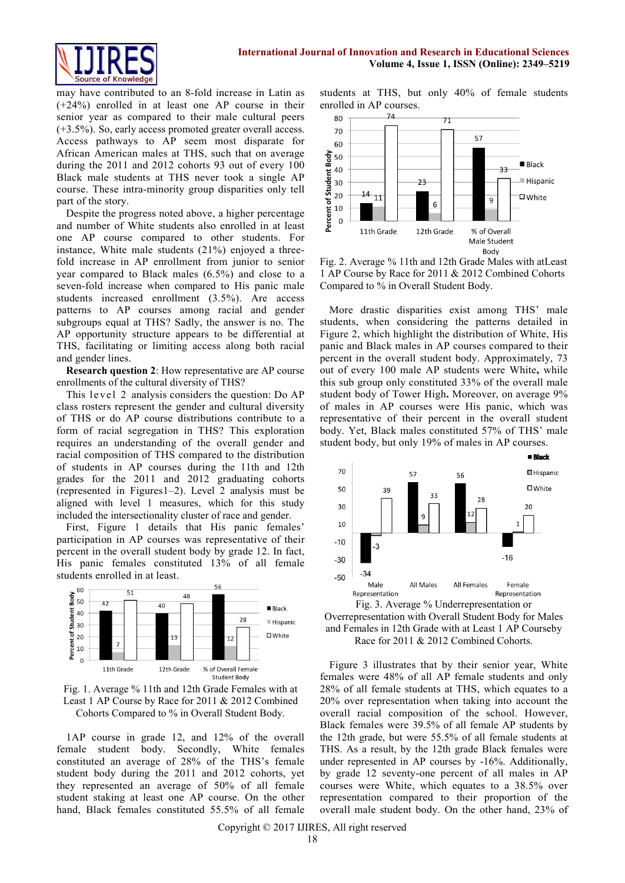

may have contributed to an 8-fold increase in Latin as (+24%) enrolled in at least one AP course in their senior year as compared to their male cultural peers (+3.5%). So, early access promoted greater overall access. Access pathways to AP seem most disparate for African American males at THS, such that on average during the 2011 and 2012 cohorts 93 out of every 100 Black male students at THS never took a single AP course. These intra-minority group disparities only tell part of the story.

Despite the progress noted above, a higher percentage and number of White students also enrolled in at least one AP course compared to other students. For instance, White male students (21%) enjoyed a threefold increase in AP enrollment from junior to senior year compared to Black males (6.5%) and close to a seven-fold increase when compared to His panic male students increased enrollment (3.5%). Are access patterns to AP courses among racial and gender subgroups equal at THS? Sadly, the answer is no. The AP opportunity structure appears to be differential at THS, facilitating or limiting access along both racial and gender lines.

**Research question 2**: How representative are AP course enrollments of the cultural diversity of THS?

This level 2 analysis considers the question: Do AP class rosters represent the gender and cultural diversity of THS or do AP course distributions contribute to a form of racial segregation in THS? This exploration requires an understanding of the overall gender and racial composition of THS compared to the distribution of students in AP courses during the 11th and 12th grades for the 2011 and 2012 graduating cohorts (represented in Figures1–2). Level 2 analysis must be aligned with level 1 measures, which for this study included the intersectionality cluster of race and gender.

First, Figure 1 details that His panic females' participation in AP courses was representative of their percent in the overall student body by grade 12. In fact, His panic females constituted 13% of all female students enrolled in at least.





1AP course in grade 12, and 12% of the overall female student body. Secondly, White females constituted an average of 28% of the THS's female student body during the 2011 and 2012 cohorts, yet they represented an average of 50% of all female student staking at least one AP course. On the other hand, Black females constituted 55.5% of all female students at THS, but only 40% of female students enrolled in AP courses.



Fig. 2. Average % 11th and 12th Grade Males with atLeast 1 AP Course by Race for 2011 & 2012 Combined Cohorts Compared to % in Overall Student Body.

More drastic disparities exist among THS' male students, when considering the patterns detailed in Figure 2, which highlight the distribution of White, His panic and Black males in AP courses compared to their percent in the overall student body. Approximately, 73 out of every 100 male AP students were White**,** while this sub group only constituted 33% of the overall male student body of Tower High**.** Moreover, on average 9% of males in AP courses were His panic, which was representative of their percent in the overall student body. Yet, Black males constituted 57% of THS' male student body, but only 19% of males in AP courses.



Overrepresentation with Overall Student Body for Males and Females in 12th Grade with at Least 1 AP Courseby Race for 2011 & 2012 Combined Cohorts.

Figure 3 illustrates that by their senior year, White females were 48% of all AP female students and only 28% of all female students at THS, which equates to a 20% over representation when taking into account the overall racial composition of the school. However, Black females were 39.5% of all female AP students by the 12th grade, but were 55.5% of all female students at THS. As a result, by the 12th grade Black females were under represented in AP courses by -16%. Additionally, by grade 12 seventy-one percent of all males in AP courses were White, which equates to a 38.5% over representation compared to their proportion of the overall male student body. On the other hand, 23% of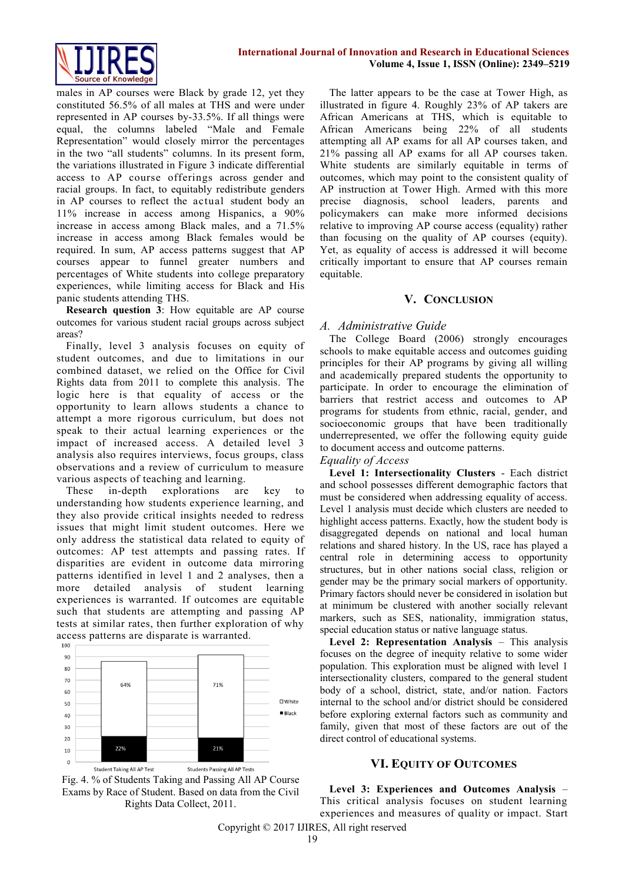

males in AP courses were Black by grade 12, yet they constituted 56.5% of all males at THS and were under represented in AP courses by-33.5%. If all things were equal, the columns labeled "Male and Female Representation" would closely mirror the percentages in the two "all students" columns. In its present form, the variations illustrated in Figure 3 indicate differential access to AP course offerings across gender and racial groups. In fact, to equitably redistribute genders in AP courses to reflect the actual student body an 11% increase in access among Hispanics, a 90% increase in access among Black males, and a 71.5% increase in access among Black females would be required. In sum, AP access patterns suggest that AP courses appear to funnel greater numbers and percentages of White students into college preparatory experiences, while limiting access for Black and His panic students attending THS.

**Research question 3**: How equitable are AP course outcomes for various student racial groups across subject areas?

Finally, level 3 analysis focuses on equity of student outcomes, and due to limitations in our combined dataset, we relied on the Office for Civil Rights data from 2011 to complete this analysis. The logic here is that equality of access or the opportunity to learn allows students a chance to attempt a more rigorous curriculum, but does not speak to their actual learning experiences or the impact of increased access. A detailed level 3 analysis also requires interviews, focus groups, class observations and a review of curriculum to measure various aspects of teaching and learning.

These in-depth explorations are key to understanding how students experience learning, and they also provide critical insights needed to redress issues that might limit student outcomes. Here we only address the statistical data related to equity of outcomes: AP test attempts and passing rates. If disparities are evident in outcome data mirroring patterns identified in level 1 and 2 analyses, then a more detailed analysis of student learning experiences is warranted. If outcomes are equitable such that students are attempting and passing AP tests at similar rates, then further exploration of why access patterns are disparate is warranted.





The latter appears to be the case at Tower High, as illustrated in figure 4. Roughly 23% of AP takers are African Americans at THS, which is equitable to African Americans being 22% of all students attempting all AP exams for all AP courses taken, and 21% passing all AP exams for all AP courses taken. White students are similarly equitable in terms of outcomes, which may point to the consistent quality of AP instruction at Tower High. Armed with this more precise diagnosis, school leaders, parents and policymakers can make more informed decisions relative to improving AP course access (equality) rather than focusing on the quality of AP courses (equity). Yet, as equality of access is addressed it will become critically important to ensure that AP courses remain equitable.

### **V. CONCLUSION**

## *A. Administrative Guide*

The College Board (2006) strongly encourages schools to make equitable access and outcomes guiding principles for their AP programs by giving all willing and academically prepared students the opportunity to participate. In order to encourage the elimination of barriers that restrict access and outcomes to AP programs for students from ethnic, racial, gender, and socioeconomic groups that have been traditionally underrepresented, we offer the following equity guide to document access and outcome patterns.

# *Equality of Access*

**Level 1: Intersectionality Clusters** - Each district and school possesses different demographic factors that must be considered when addressing equality of access. Level 1 analysis must decide which clusters are needed to highlight access patterns. Exactly, how the student body is disaggregated depends on national and local human relations and shared history. In the US, race has played a central role in determining access to opportunity structures, but in other nations social class, religion or gender may be the primary social markers of opportunity. Primary factors should never be considered in isolation but at minimum be clustered with another socially relevant markers, such as SES, nationality, immigration status, special education status or native language status.

**Level 2: Representation Analysis** – This analysis focuses on the degree of inequity relative to some wider population. This exploration must be aligned with level 1 intersectionality clusters, compared to the general student body of a school, district, state, and/or nation. Factors internal to the school and/or district should be considered before exploring external factors such as community and family, given that most of these factors are out of the direct control of educational systems.

# **VI. EQUITY OF OUTCOMES**

**Level 3: Experiences and Outcomes Analysis** – This critical analysis focuses on student learning experiences and measures of quality or impact. Start

Copyright © 2017 IJIRES, All right reserved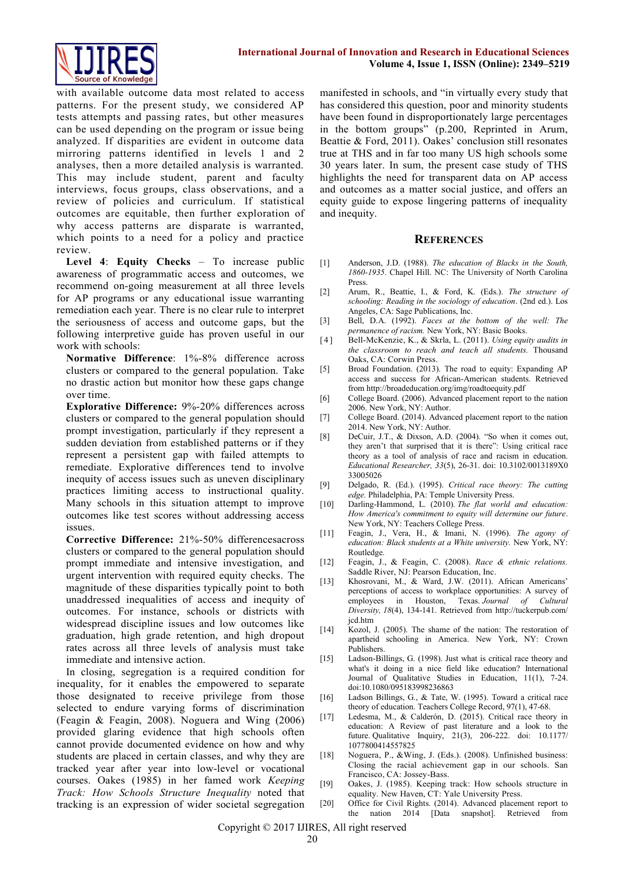

with available outcome data most related to access patterns. For the present study, we considered AP tests attempts and passing rates, but other measures can be used depending on the program or issue being analyzed. If disparities are evident in outcome data mirroring patterns identified in levels 1 and 2 analyses, then a more detailed analysis is warranted. This may include student, parent and faculty interviews, focus groups, class observations, and a review of policies and curriculum. If statistical outcomes are equitable, then further exploration of why access patterns are disparate is warranted, which points to a need for a policy and practice review.

**Level 4**: **Equity Checks** – To increase public awareness of programmatic access and outcomes, we recommend on-going measurement at all three levels for AP programs or any educational issue warranting remediation each year. There is no clear rule to interpret the seriousness of access and outcome gaps, but the following interpretive guide has proven useful in our work with schools:

**Normative Difference**: 1%-8% difference across clusters or compared to the general population. Take no drastic action but monitor how these gaps change over time.

**Explorative Difference:** 9%-20% differences across clusters or compared to the general population should prompt investigation, particularly if they represent a sudden deviation from established patterns or if they represent a persistent gap with failed attempts to remediate. Explorative differences tend to involve inequity of access issues such as uneven disciplinary practices limiting access to instructional quality. Many schools in this situation attempt to improve outcomes like test scores without addressing access issues.

**Corrective Difference:** 21%-50% differencesacross clusters or compared to the general population should prompt immediate and intensive investigation, and urgent intervention with required equity checks. The magnitude of these disparities typically point to both unaddressed inequalities of access and inequity of outcomes. For instance, schools or districts with widespread discipline issues and low outcomes like graduation, high grade retention, and high dropout rates across all three levels of analysis must take immediate and intensive action.

In closing, segregation is a required condition for inequality, for it enables the empowered to separate those designated to receive privilege from those selected to endure varying forms of discrimination (Feagin & Feagin, 2008). Noguera and Wing (2006) provided glaring evidence that high schools often cannot provide documented evidence on how and why students are placed in certain classes, and why they are tracked year after year into low-level or vocational courses. Oakes (1985) in her famed work *Keeping Track: How Schools Structure Inequality* noted that tracking is an expression of wider societal segregation

manifested in schools, and "in virtually every study that has considered this question, poor and minority students have been found in disproportionately large percentages in the bottom groups" (p.200, Reprinted in Arum, Beattie & Ford, 2011). Oakes' conclusion still resonates true at THS and in far too many US high schools some 30 years later. In sum, the present case study of THS highlights the need for transparent data on AP access and outcomes as a matter social justice, and offers an equity guide to expose lingering patterns of inequality and inequity.

#### **REFERENCES**

- [1] Anderson, J.D. (1988). *The education of Blacks in the South, 1860-1935*. Chapel Hill. NC: The University of North Carolina Press.
- [2] Arum, R., Beattie, I., & Ford, K. (Eds.). *The structure of schooling: Reading in the sociology of education*. (2nd ed.). Los Angeles, CA: Sage Publications, Inc.
- [3] Bell, D.A. (1992). *Faces at the bottom of the well: The permanence of racism.* New York, NY: Basic Books.
- [ 4 ] Bell-McKenzie, K., & Skrla, L. (2011). *Using equity audits in the classroom to reach and teach all students.* Thousand Oaks, CA: Corwin Press.
- [5] Broad Foundation. (2013). The road to equity: Expanding AP access and success for African-American students. Retrieved from http://broadeducation.org/img/roadtoequity.pdf
- [6] College Board. (2006). Advanced placement report to the nation 2006. New York, NY: Author.
- [7] College Board. (2014). Advanced placement report to the nation 2014. New York, NY: Author.
- [8] DeCuir, J.T., & Dixson, A.D. (2004). "So when it comes out, they aren't that surprised that it is there": Using critical race theory as a tool of analysis of race and racism in education. *Educational Researcher, 33*(5), 26-31. doi: 10.3102/0013189X0 33005026
- [9] Delgado, R. (Ed.). (1995). *Critical race theory: The cutting edge.* Philadelphia, PA: Temple University Press.
- [10] Darling-Hammond, L. (2010). *The flat world and education: How America's commitment to equity will determine our future*. New York, NY: Teachers College Press.
- [11] Feagin, J., Vera, H., & Imani, N. (1996). *The agony of education: Black students at a White university.* New York, NY: Routledge.
- [12] Feagin, J., & Feagin, C. (2008). *Race & ethnic relations.* Saddle River, NJ: Pearson Education, Inc.
- [13] Khosrovani, M., & Ward, J.W. (2011). African Americans' perceptions of access to workplace opportunities: A survey of employees in Houston, Texas. *Journal of Cultural Diversity, 18*(4), 134-141. Retrieved from [http://tuckerpub.com/](http://tuckerpub.com/jcd.htm) [jcd.htm](http://tuckerpub.com/jcd.htm)
- [14] Kozol, J. (2005). The shame of the nation: The restoration of apartheid schooling in America. New York, NY: Crown Publishers.
- [15] Ladson-Billings, G. (1998). Just what is critical race theory and what's it doing in a nice field like education? International Journal of Qualitative Studies in Education, 11(1), 7-24. doi:10.1080/095183998236863
- [16] Ladson Billings, G., & Tate, W. (1995). Toward a critical race theory of education. Teachers College Record, 97(1), 47-68.
- [17] Ledesma, M., & Calderón, D. (2015). Critical race theory in education: A Review of past literature and a look to the future. Qualitative Inquiry, 21(3), 206-222. doi: 10.1177/ 1077800414557825
- [18] Noguera, P., &Wing, J. (Eds.). (2008). Unfinished business: Closing the racial achievement gap in our schools. San Francisco, CA: Jossey-Bass.
- [19] Oakes, J. (1985). Keeping track: How schools structure in equality. New Haven, CT: Yale University Press.
- [20] Office for Civil Rights. (2014). Advanced placement report to the nation 2014 [Data snapshot]. Retrieved from

Copyright © 2017 IJIRES, All right reserved